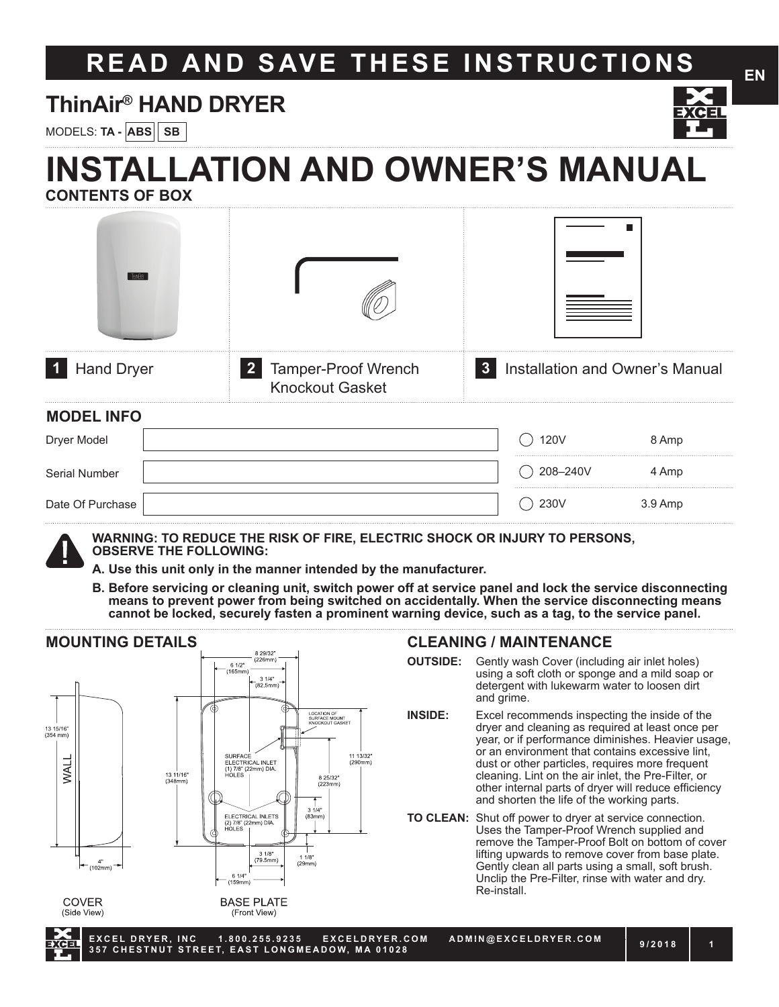# **READ AND SAVE THESE INSTRUCTIONS**

# **ThinAir® HAND DRYER**

MODELS: **TA - ABS SB**

# **INSTALLATION AND OWNER'S MANUAL CONTENTS OF BOX**

| $\blacksquare$ 1<br><b>Hand Dryer</b> | 2 Tamper-Proof Wrench<br><b>Knockout Gasket</b> | $\mathbf{3}$ | Installation and Owner's Manual |         |
|---------------------------------------|-------------------------------------------------|--------------|---------------------------------|---------|
| <b>MODEL INFO</b>                     |                                                 |              |                                 |         |
| Dryer Model                           |                                                 |              | <b>120V</b>                     | 8 Amp   |
| Serial Number                         |                                                 |              | 208-240V                        | 4 Amp   |
| Date Of Purchase                      |                                                 |              | 230V                            | 3.9 Amp |



**WARNING: TO REDUCE THE RISK OF FIRE, ELECTRIC SHOCK OR INJURY TO PERSONS, OBSERVE THE FOLLOWING:**

- **A. Use this unit only in the manner intended by the manufacturer.**
- **B. Before servicing or cleaning unit, switch power off at service panel and lock the service disconnecting means to prevent power from being switched on accidentally. When the service disconnecting means cannot be locked, securely fasten a prominent warning device, such as a tag, to the service panel.**

#### **MOUNTING DETAILS** 329/32  $(226mm)$ 6 1/2"<br>165mn  $31/4"$ <br>(82.5mm LOCATION OF<br>SURFACE MOUNT<br>KNOCKOUT GASK 13 15/16'<br>(354 mm) SURFACE<br>ELECTRICAL INLET<br>(1) 7/8" (22mm) DIA<br>HOLES 11 13/32'<br>(290mm) **WAL** 13 11/16"<br>(348mm) 8 25/32  $(223n)$  $\frac{1}{3}$  1/4"<br>(83mm) ELECTRICAL INLETS<br>(2) 7/8" (22mm) DIA  $\frac{1}{11/8}$ "<br>(29mm) 3 1/8"<br>(79.5mm)  $(102mm)$ 6 1/4"<br>(159mm) **COVER BASE PLATE** (Side View) (Front View)

#### **CLEANING / MAINTENANCE**

- **OUTSIDE:** Gently wash Cover (including air inlet holes) using a soft cloth or sponge and a mild soap or detergent with lukewarm water to loosen dirt and grime.
- **INSIDE:** Excel recommends inspecting the inside of the dryer and cleaning as required at least once per year, or if performance diminishes. Heavier usage, or an environment that contains excessive lint, dust or other particles, requires more frequent cleaning. Lint on the air inlet, the Pre-Filter, or other internal parts of dryer will reduce efficiency and shorten the life of the working parts.
- **TO CLEAN:** Shut off power to dryer at service connection. Uses the Tamper-Proof Wrench supplied and remove the Tamper-Proof Bolt on bottom of cover lifting upwards to remove cover from base plate. Gently clean all parts using a small, soft brush. Unclip the Pre-Filter, rinse with water and dry. Re-install.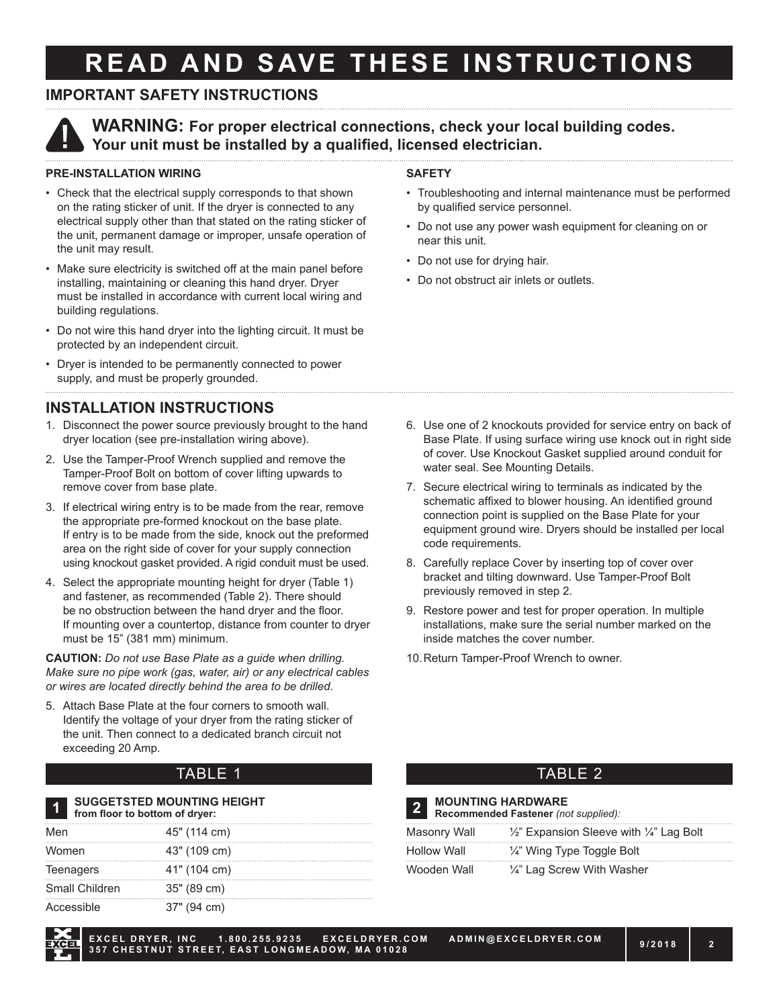# **READ AND SAVE THESE INSTRUCTIONS**

### **IMPORTANT SAFETY INSTRUCTIONS**



**WARNING: For proper electrical connections, check your local building codes. Your unit must be installed by a qualified, licensed electrician.**

#### **PRE-INSTALLATION WIRING**

- Check that the electrical supply corresponds to that shown on the rating sticker of unit. If the dryer is connected to any electrical supply other than that stated on the rating sticker of the unit, permanent damage or improper, unsafe operation of the unit may result.
- Make sure electricity is switched off at the main panel before installing, maintaining or cleaning this hand dryer. Dryer must be installed in accordance with current local wiring and building regulations.
- Do not wire this hand dryer into the lighting circuit. It must be protected by an independent circuit.
- Dryer is intended to be permanently connected to power supply, and must be properly grounded.

#### **INSTALLATION INSTRUCTIONS**

- 1. Disconnect the power source previously brought to the hand dryer location (see pre-installation wiring above).
- 2. Use the Tamper-Proof Wrench supplied and remove the Tamper-Proof Bolt on bottom of cover lifting upwards to remove cover from base plate.
- 3. If electrical wiring entry is to be made from the rear, remove the appropriate pre-formed knockout on the base plate. If entry is to be made from the side, knock out the preformed area on the right side of cover for your supply connection using knockout gasket provided. A rigid conduit must be used.
- 4. Select the appropriate mounting height for dryer (Table 1) and fastener, as recommended (Table 2). There should be no obstruction between the hand dryer and the floor. If mounting over a countertop, distance from counter to dryer must be 15" (381 mm) minimum.

**CAUTION:** *Do not use Base Plate as a guide when drilling. Make sure no pipe work (gas, water, air) or any electrical cables or wires are located directly behind the area to be drilled.*

5. Attach Base Plate at the four corners to smooth wall. Identify the voltage of your dryer from the rating sticker of the unit. Then connect to a dedicated branch circuit not exceeding 20 Amp.

### TABLE 1 TABLE 2

|                | <b>SUGGETSTED MOUNTING HEIGHT</b><br>from floor to bottom of dryer: |    |
|----------------|---------------------------------------------------------------------|----|
| Men            | 45" (114 cm)                                                        | Ла |
| Women          | 43" (109 cm)                                                        | Hn |
| Teenagers      | 41" (104 cm)                                                        | Nr |
| Small Children | 35" (89 cm)                                                         |    |
| Accessible     | 37" (94 cm)                                                         |    |

#### **SAFETY**

- Troubleshooting and internal maintenance must be performed by qualified service personnel.
- Do not use any power wash equipment for cleaning on or near this unit.
- Do not use for drying hair.
- Do not obstruct air inlets or outlets.

- 6. Use one of 2 knockouts provided for service entry on back of Base Plate. If using surface wiring use knock out in right side of cover. Use Knockout Gasket supplied around conduit for water seal. See Mounting Details.
- 7. Secure electrical wiring to terminals as indicated by the schematic affixed to blower housing. An identified ground connection point is supplied on the Base Plate for your equipment ground wire. Dryers should be installed per local code requirements.
- 8. Carefully replace Cover by inserting top of cover over bracket and tilting downward. Use Tamper-Proof Bolt previously removed in step 2.
- 9. Restore power and test for proper operation. In multiple installations, make sure the serial number marked on the inside matches the cover number.
- 10.Return Tamper-Proof Wrench to owner.

| $\overline{2}$     | <b>MOUNTING HARDWARE</b><br>Recommended Fastener (not supplied): |
|--------------------|------------------------------------------------------------------|
| Masonry Wall       | $\frac{1}{2}$ " Expansion Sleeve with $\frac{1}{4}$ " Lag Bolt   |
| <b>Hollow Wall</b> | $\frac{1}{4}$ " Wing Type Toggle Bolt                            |
| Wooden Wall        | 1/4" Lag Screw With Washer                                       |

**EXCEL DRYER, INC 1.800.255.9235 EXCELDRYER.COM ADMIN@EXCELDRYER.COM 357 CHESTNUT STREET, EAST LONGMEADOW, MA 01028 9/2018 <sup>2</sup>**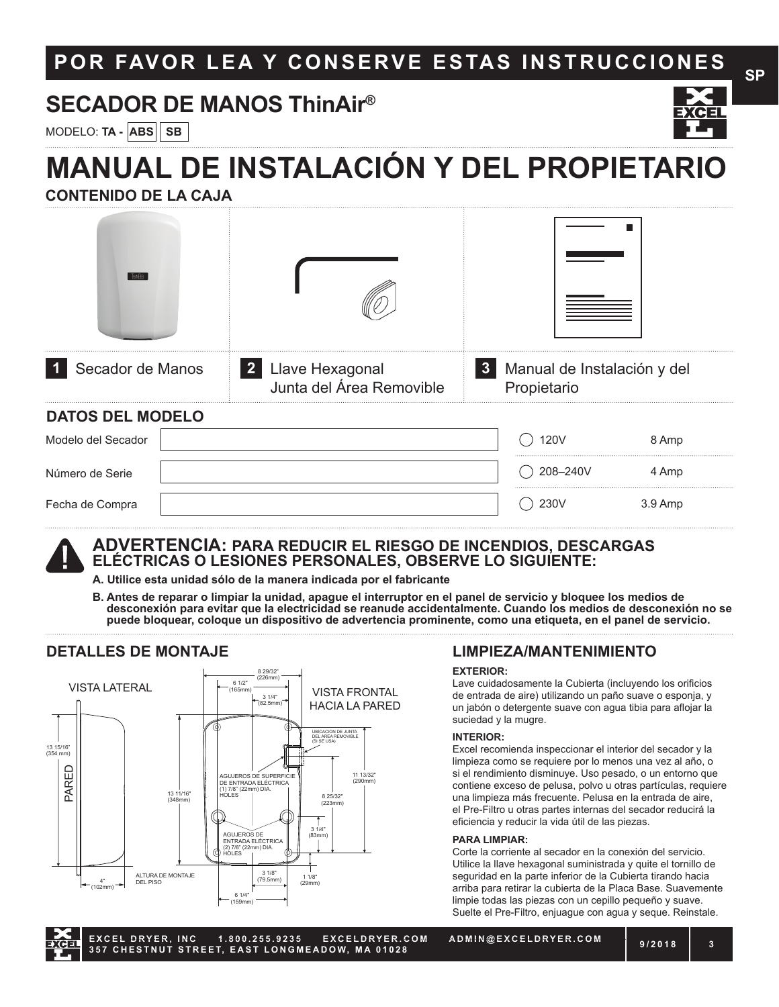# **POR FAVOR LEA Y CONSERVE ESTAS INSTRUCCIONES**

## **SECADOR DE MANOS ThinAir®**

MODELO: **TA - ABS SB**

# **MANUAL DE INSTALACIÓN Y DEL PROPIETARIO**

**CONTENIDO DE LA CAJA** 

| T-INAR                  |  |                                               |              |                                            |         |
|-------------------------|--|-----------------------------------------------|--------------|--------------------------------------------|---------|
| Secador de Manos        |  | 2 Llave Hexagonal<br>Junta del Área Removible | $\mathbf{3}$ | Manual de Instalación y del<br>Propietario |         |
| <b>DATOS DEL MODELO</b> |  |                                               |              |                                            |         |
| Modelo del Secador      |  |                                               |              | <b>120V</b>                                | 8 Amp   |
| Número de Serie         |  |                                               |              | 208-240V                                   | 4 Amp   |
| Fecha de Compra         |  |                                               |              | 230V                                       | 3.9 Amp |

# **ADVERTENCIA: PARA REDUCIR EL RIESGO DE INCENDIOS, DESCARGAS ELÉCTRICAS O LESIONES PERSONALES, OBSERVE LO SIGUIENTE:**

**A. Utilice esta unidad sólo de la manera indicada por el fabricante**

**B. Antes de reparar o limpiar la unidad, apague el interruptor en el panel de servicio y bloquee los medios de desconexión para evitar que la electricidad se reanude accidentalmente. Cuando los medios de desconexión no se puede bloquear, coloque un dispositivo de advertencia prominente, como una etiqueta, en el panel de servicio.**

#### **DETALLES DE MONTAJE**



#### **LIMPIEZA/MANTENIMIENTO**

#### **EXTERIOR:**

Lave cuidadosamente la Cubierta (incluyendo los orificios de entrada de aire) utilizando un paño suave o esponja, y un jabón o detergente suave con agua tibia para aflojar la suciedad y la mugre.

#### **INTERIOR:**

Excel recomienda inspeccionar el interior del secador y la limpieza como se requiere por lo menos una vez al año, o si el rendimiento disminuye. Uso pesado, o un entorno que contiene exceso de pelusa, polvo u otras partículas, requiere una limpieza más frecuente. Pelusa en la entrada de aire, el Pre-Filtro u otras partes internas del secador reducirá la eficiencia y reducir la vida útil de las piezas.

#### **PARA LIMPIAR:**

Corte la corriente al secador en la conexión del servicio. Utilice la llave hexagonal suministrada y quite el tornillo de seguridad en la parte inferior de la Cubierta tirando hacia arriba para retirar la cubierta de la Placa Base. Suavemente limpie todas las piezas con un cepillo pequeño y suave. Suelte el Pre-Filtro, enjuague con agua y seque. Reinstale.

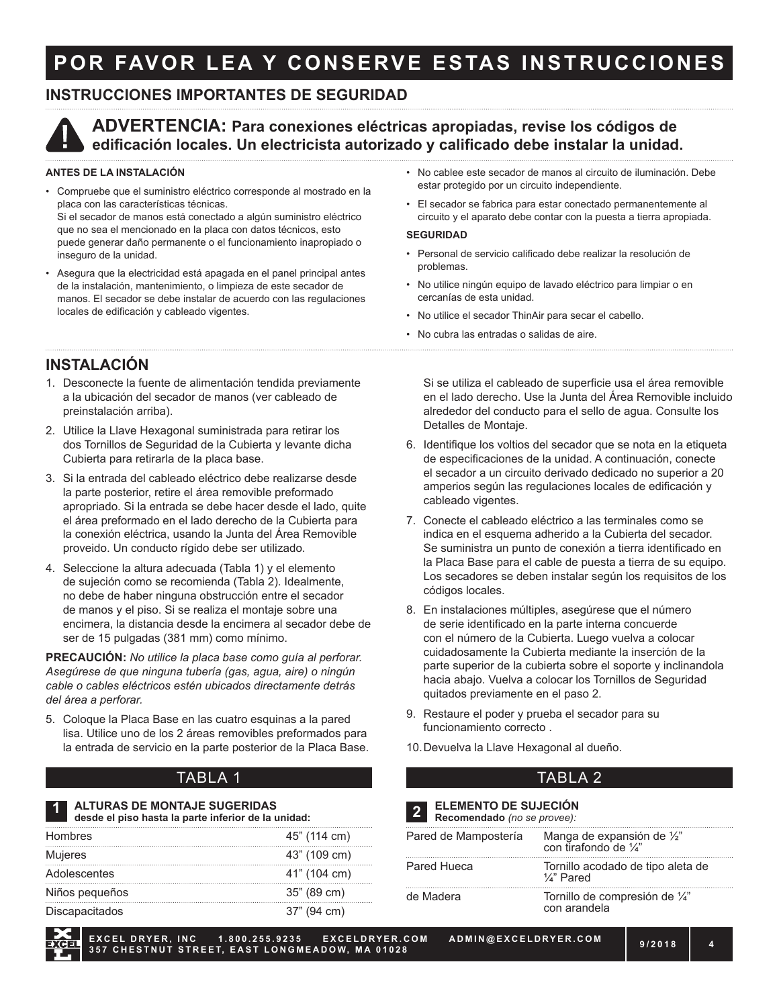# **POR FAVOR LEA Y CONSERVE ESTAS INSTRUCCIONES**

#### **INSTRUCCIONES IMPORTANTES DE SEGURIDAD**



#### **ADVERTENCIA: Para conexiones eléctricas apropiadas, revise los códigos de edificación locales. Un electricista autorizado y calificado debe instalar la unidad.**

#### **ANTES DE LA INSTALACIÓN**

- Compruebe que el suministro eléctrico corresponde al mostrado en la placa con las características técnicas. Si el secador de manos está conectado a algún suministro eléctrico que no sea el mencionado en la placa con datos técnicos, esto puede generar daño permanente o el funcionamiento inapropiado o inseguro de la unidad.
- Asegura que la electricidad está apagada en el panel principal antes de la instalación, mantenimiento, o limpieza de este secador de manos. El secador se debe instalar de acuerdo con las regulaciones locales de edificación y cableado vigentes.
- No cablee este secador de manos al circuito de iluminación. Debe estar protegido por un circuito independiente.
- El secador se fabrica para estar conectado permanentemente al circuito y el aparato debe contar con la puesta a tierra apropiada.

#### **SEGURIDAD**

- Personal de servicio calificado debe realizar la resolución de problemas.
- No utilice ningún equipo de lavado eléctrico para limpiar o en cercanías de esta unidad.
- No utilice el secador ThinAir para secar el cabello.
- No cubra las entradas o salidas de aire.

#### **INSTALACIÓN**

- 1. Desconecte la fuente de alimentación tendida previamente a la ubicación del secador de manos (ver cableado de preinstalación arriba).
- 2. Utilice la Llave Hexagonal suministrada para retirar los dos Tornillos de Seguridad de la Cubierta y levante dicha Cubierta para retirarla de la placa base.
- 3. Si la entrada del cableado eléctrico debe realizarse desde la parte posterior, retire el área removible preformado apropriado. Si la entrada se debe hacer desde el lado, quite el área preformado en el lado derecho de la Cubierta para la conexión eléctrica, usando la Junta del Área Removible proveido. Un conducto rígido debe ser utilizado.
- 4. Seleccione la altura adecuada (Tabla 1) y el elemento de sujeción como se recomienda (Tabla 2). Idealmente, no debe de haber ninguna obstrucción entre el secador de manos y el piso. Si se realiza el montaje sobre una encimera, la distancia desde la encimera al secador debe de ser de 15 pulgadas (381 mm) como mínimo.

**PRECAUCIÓN:** *No utilice la placa base como guía al perforar. Asegúrese de que ninguna tubería (gas, agua, aire) o ningún cable o cables eléctricos estén ubicados directamente detrás del área a perforar.*

5. Coloque la Placa Base en las cuatro esquinas a la pared lisa. Utilice uno de los 2 áreas removibles preformados para la entrada de servicio en la parte posterior de la Placa Base.

#### TABLA 1 TABLA 2

#### **ALTURAS DE MONTAJE SUGERIDAS desde el piso hasta la parte inferior de la unidad: 1 2**

| <b>Hombres</b>        | 45" (114 cm) |
|-----------------------|--------------|
| Mujeres               | 43" (109 cm) |
| Adolescentes          | 41" (104 cm) |
| Niños pequeños        | 35" (89 cm)  |
| <b>Discapacitados</b> | 37" (94 cm)  |

Si se utiliza el cableado de superficie usa el área removible en el lado derecho. Use la Junta del Área Removible incluido alrededor del conducto para el sello de agua. Consulte los Detalles de Montaje.

- 6. Identifique los voltios del secador que se nota en la etiqueta de especificaciones de la unidad. A continuación, conecte el secador a un circuito derivado dedicado no superior a 20 amperios según las regulaciones locales de edificación y cableado vigentes.
- 7. Conecte el cableado eléctrico a las terminales como se indica en el esquema adherido a la Cubierta del secador. Se suministra un punto de conexión a tierra identificado en la Placa Base para el cable de puesta a tierra de su equipo. Los secadores se deben instalar según los requisitos de los códigos locales.
- 8. En instalaciones múltiples, asegúrese que el número de serie identificado en la parte interna concuerde con el número de la Cubierta. Luego vuelva a colocar cuidadosamente la Cubierta mediante la inserción de la parte superior de la cubierta sobre el soporte y inclinandola hacia abajo. Vuelva a colocar los Tornillos de Seguridad quitados previamente en el paso 2.
- 9. Restaure el poder y prueba el secador para su funcionamiento correcto .
- 10.Devuelva la Llave Hexagonal al dueño.

#### **ELEMENTO DE SUJECIÓN Recomendado** *(no se provee):*

| Pared de Mampostería | Manga de expansión de 1/2"<br>con tirafondo de 1/4"        |
|----------------------|------------------------------------------------------------|
| Pared Hueca          | Tornillo acodado de tipo aleta de<br>$\frac{1}{4}$ " Pared |
| de Madera            | Tornillo de compresión de 1/4"<br>con arandela             |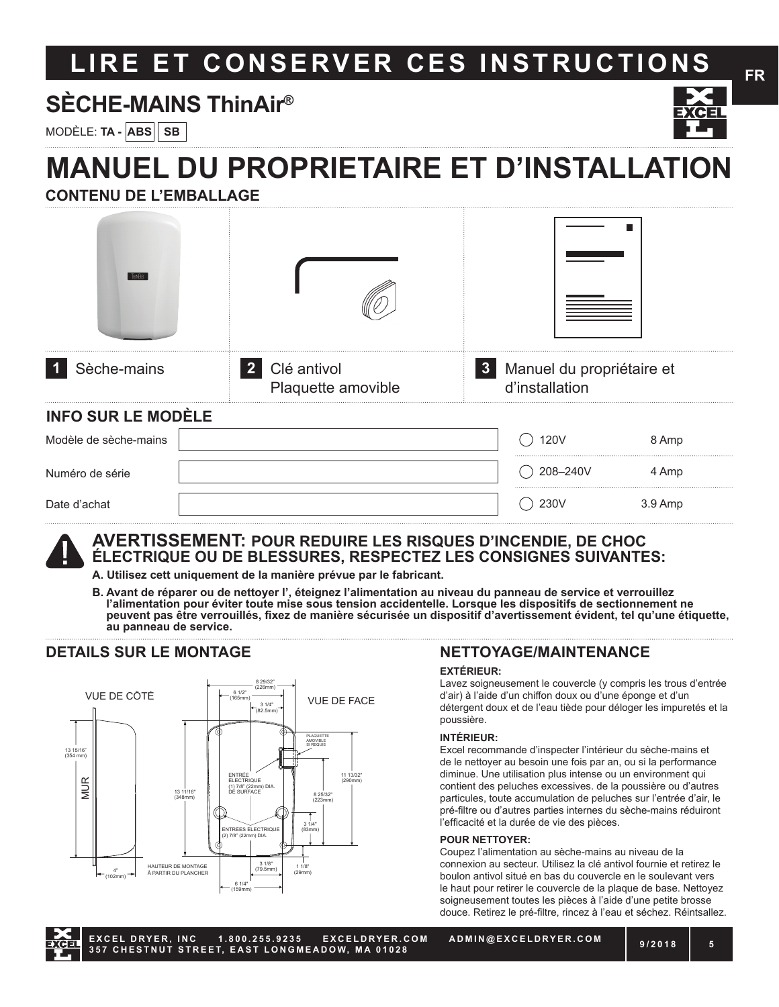# LIRE ET CONSERVER CES INSTRUCTIONS FR

# **SÈCHE-MAINS ThinAir®**

MODÈLE: **TA - ABS SB**

# **MANUEL DU PROPRIETAIRE ET D'INSTALLATION**

**CONTENU DE L'EMBALLAGE**

| THINAR                    |                                     |                         |                                             |         |
|---------------------------|-------------------------------------|-------------------------|---------------------------------------------|---------|
| Sèche-mains               | 2 Clé antivol<br>Plaquette amovible | $\overline{\mathbf{3}}$ | Manuel du propriétaire et<br>d'installation |         |
| <b>INFO SUR LE MODÈLE</b> |                                     |                         |                                             |         |
| Modèle de sèche-mains     |                                     |                         | <b>120V</b>                                 | 8 Amp   |
| Numéro de série           |                                     |                         | 208-240V                                    | 4 Amp   |
| Date d'achat              |                                     |                         | 230V                                        | 3.9 Amp |

#### **AVERTISSEMENT: POUR REDUIRE LES RISQUES D'INCENDIE, DE CHOC ÉLECTRIQUE OU DE BLESSURES, RESPECTEZ LES CONSIGNES SUIVANTES:**

- **A. Utilisez cett uniquement de la manière prévue par le fabricant.**
- **B. Avant de réparer ou de nettoyer l', éteignez l'alimentation au niveau du panneau de service et verrouillez l'alimentation pour éviter toute mise sous tension accidentelle. Lorsque les dispositifs de sectionnement ne peuvent pas être verrouillés, fixez de manière sécurisée un dispositif d'avertissement évident, tel qu'une étiquette, au panneau de service.**

### **DETAILS SUR LE MONTAGE**



### **NETTOYAGE/MAINTENANCE**

#### **EXTÉRIEUR:**

Lavez soigneusement le couvercle (y compris les trous d'entrée d'air) à l'aide d'un chiffon doux ou d'une éponge et d'un détergent doux et de l'eau tiède pour déloger les impuretés et la poussière.

#### **INTÉRIEUR:**

Excel recommande d'inspecter l'intérieur du sèche-mains et de le nettoyer au besoin une fois par an, ou si la performance diminue. Une utilisation plus intense ou un environment qui contient des peluches excessives. de la poussière ou d'autres particules, toute accumulation de peluches sur l'entrée d'air, le pré-filtre ou d'autres parties internes du sèche-mains réduiront l'efficacité et la durée de vie des pièces.

#### **POUR NETTOYER:**

Coupez l'alimentation au sèche-mains au niveau de la connexion au secteur. Utilisez la clé antivol fournie et retirez le boulon antivol situé en bas du couvercle en le soulevant vers le haut pour retirer le couvercle de la plaque de base. Nettoyez soigneusement toutes les pièces à l'aide d'une petite brosse douce. Retirez le pré-filtre, rincez à l'eau et séchez. Réintsallez.